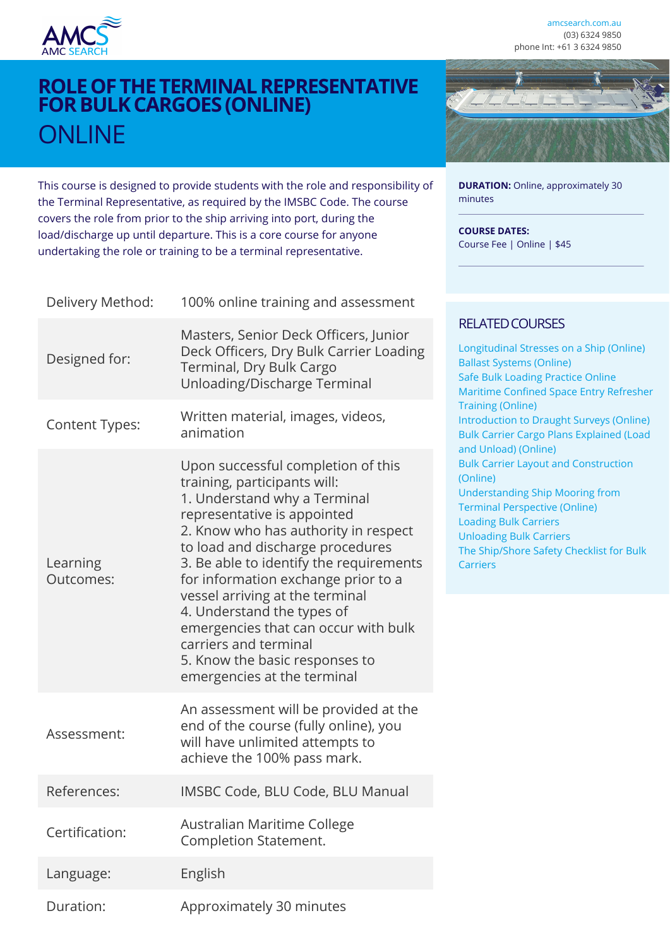

Designed for:

**DURATION:** Online, approximately 30

minutes

**COURSE DATES:**

Course Fee | Online | \$45

# **ROLE OF THE TERMINAL REPRESENTATIVE FOR BULK CARGOES (ONLINE) ONLINE**

This course is designed to provide students with the role and responsibility of the Terminal Representative, as required by the IMSBC Code. The course covers the role from prior to the ship arriving into port, during the load/discharge up until departure. This is a core course for anyone undertaking the role or training to be a terminal representative.



| Learning<br>Outcomes: | training, participants will:<br>1. Understand why a Terminal<br>representative is appointed<br>2. Know who has authority in respect<br>to load and discharge procedures<br>3. Be able to identify the requirements<br>for information exchange prior to a<br>vessel arriving at the terminal<br>4. Understand the types of<br>emergencies that can occur with bulk<br>carriers and terminal<br>5. Know the basic responses to<br>emergencies at the terminal |
|-----------------------|--------------------------------------------------------------------------------------------------------------------------------------------------------------------------------------------------------------------------------------------------------------------------------------------------------------------------------------------------------------------------------------------------------------------------------------------------------------|
| Assessment:           | An assessment will be provided at the<br>end of the course (fully online), you<br>will have unlimited attempts to<br>achieve the 100% pass mark.                                                                                                                                                                                                                                                                                                             |
| References:           | IMSBC Code, BLU Code, BLU Manual                                                                                                                                                                                                                                                                                                                                                                                                                             |
| Certification:        | Australian Maritime College<br>Completion Statement.                                                                                                                                                                                                                                                                                                                                                                                                         |
| Language:             | English                                                                                                                                                                                                                                                                                                                                                                                                                                                      |
| Duration:             | Approximately 30 minutes                                                                                                                                                                                                                                                                                                                                                                                                                                     |